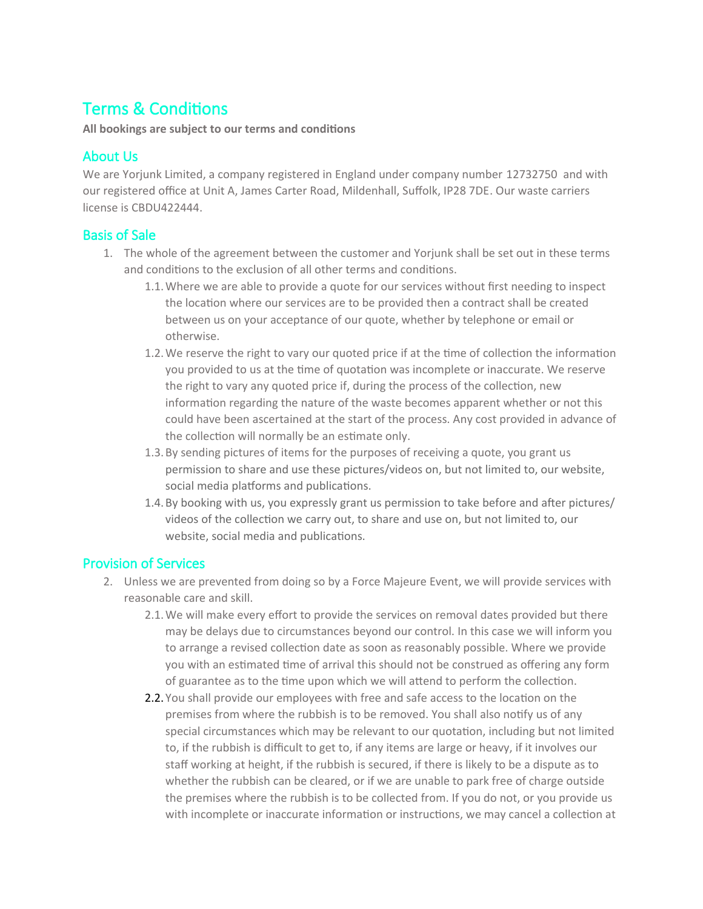# Terms & Conditions

**All bookings are subject to our terms and conditions**

## About Us

We are Yorjunk Limited, a company registered in England under company number 12732750 and with our registered office at Unit A, James Carter Road, Mildenhall, Suffolk, IP28 7DE. Our waste carriers license is CBDU422444.

## Basis of Sale

- 1. The whole of the agreement between the customer and Yorjunk shall be set out in these terms and conditions to the exclusion of all other terms and conditions.
	- 1.1.Where we are able to provide a quote for our services without first needing to inspect the location where our services are to be provided then a contract shall be created between us on your acceptance of our quote, whether by telephone or email or otherwise.
	- 1.2.We reserve the right to vary our quoted price if at the time of collection the information you provided to us at the time of quotation was incomplete or inaccurate. We reserve the right to vary any quoted price if, during the process of the collection, new information regarding the nature of the waste becomes apparent whether or not this could have been ascertained at the start of the process. Any cost provided in advance of the collection will normally be an estimate only.
	- 1.3.By sending pictures of items for the purposes of receiving a quote, you grant us permission to share and use these pictures/videos on, but not limited to, our website, social media platforms and publications.
	- 1.4.By booking with us, you expressly grant us permission to take before and after pictures/ videos of the collection we carry out, to share and use on, but not limited to, our website, social media and publications.

### Provision of Services

- 2. Unless we are prevented from doing so by a Force Majeure Event, we will provide services with reasonable care and skill.
	- 2.1.We will make every effort to provide the services on removal dates provided but there may be delays due to circumstances beyond our control. In this case we will inform you to arrange a revised collection date as soon as reasonably possible. Where we provide you with an estimated time of arrival this should not be construed as offering any form of guarantee as to the time upon which we will attend to perform the collection.
	- 2.2. You shall provide our employees with free and safe access to the location on the premises from where the rubbish is to be removed. You shall also notify us of any special circumstances which may be relevant to our quotation, including but not limited to, if the rubbish is difficult to get to, if any items are large or heavy, if it involves our staff working at height, if the rubbish is secured, if there is likely to be a dispute as to whether the rubbish can be cleared, or if we are unable to park free of charge outside the premises where the rubbish is to be collected from. If you do not, or you provide us with incomplete or inaccurate information or instructions, we may cancel a collection at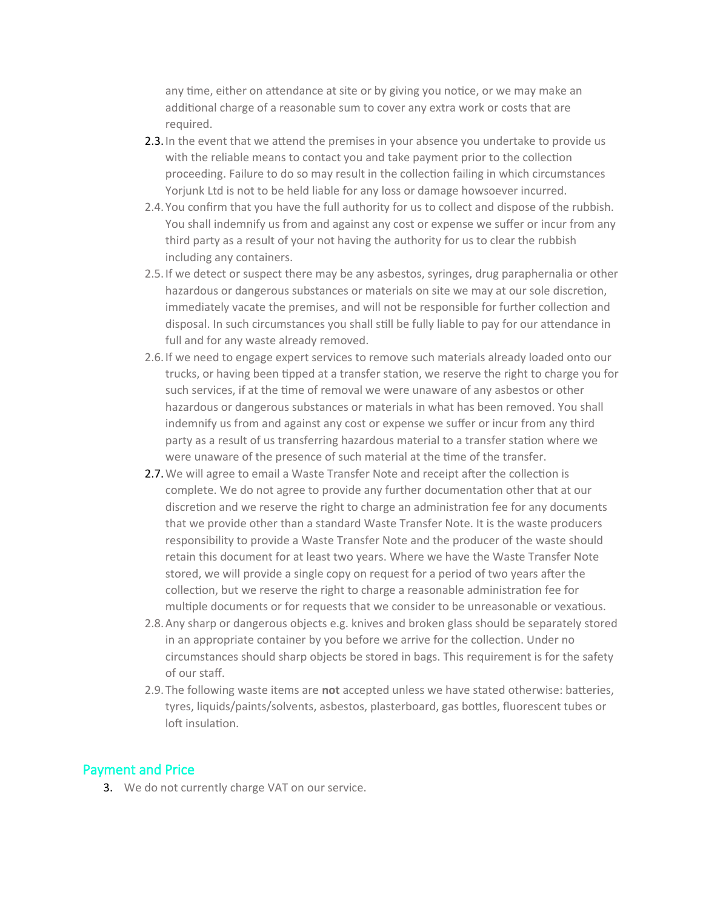any time, either on attendance at site or by giving you notice, or we may make an additional charge of a reasonable sum to cover any extra work or costs that are required.

- 2.3. In the event that we attend the premises in your absence you undertake to provide us with the reliable means to contact you and take payment prior to the collection proceeding. Failure to do so may result in the collection failing in which circumstances Yorjunk Ltd is not to be held liable for any loss or damage howsoever incurred.
- 2.4. You confirm that you have the full authority for us to collect and dispose of the rubbish. You shall indemnify us from and against any cost or expense we suffer or incur from any third party as a result of your not having the authority for us to clear the rubbish including any containers.
- 2.5.If we detect or suspect there may be any asbestos, syringes, drug paraphernalia or other hazardous or dangerous substances or materials on site we may at our sole discretion, immediately vacate the premises, and will not be responsible for further collection and disposal. In such circumstances you shall still be fully liable to pay for our attendance in full and for any waste already removed.
- 2.6.If we need to engage expert services to remove such materials already loaded onto our trucks, or having been tipped at a transfer station, we reserve the right to charge you for such services, if at the time of removal we were unaware of any asbestos or other hazardous or dangerous substances or materials in what has been removed. You shall indemnify us from and against any cost or expense we suffer or incur from any third party as a result of us transferring hazardous material to a transfer station where we were unaware of the presence of such material at the time of the transfer.
- 2.7. We will agree to email a Waste Transfer Note and receipt after the collection is complete. We do not agree to provide any further documentation other that at our discretion and we reserve the right to charge an administration fee for any documents that we provide other than a standard Waste Transfer Note. It is the waste producers responsibility to provide a Waste Transfer Note and the producer of the waste should retain this document for at least two years. Where we have the Waste Transfer Note stored, we will provide a single copy on request for a period of two years after the collection, but we reserve the right to charge a reasonable administration fee for multiple documents or for requests that we consider to be unreasonable or vexatious.
- 2.8.Any sharp or dangerous objects e.g. knives and broken glass should be separately stored in an appropriate container by you before we arrive for the collection. Under no circumstances should sharp objects be stored in bags. This requirement is for the safety of our staff.
- 2.9. The following waste items are **not** accepted unless we have stated otherwise: batteries, tyres, liquids/paints/solvents, asbestos, plasterboard, gas bottles, fluorescent tubes or loft insulation.

#### Payment and Price

3. We do not currently charge VAT on our service.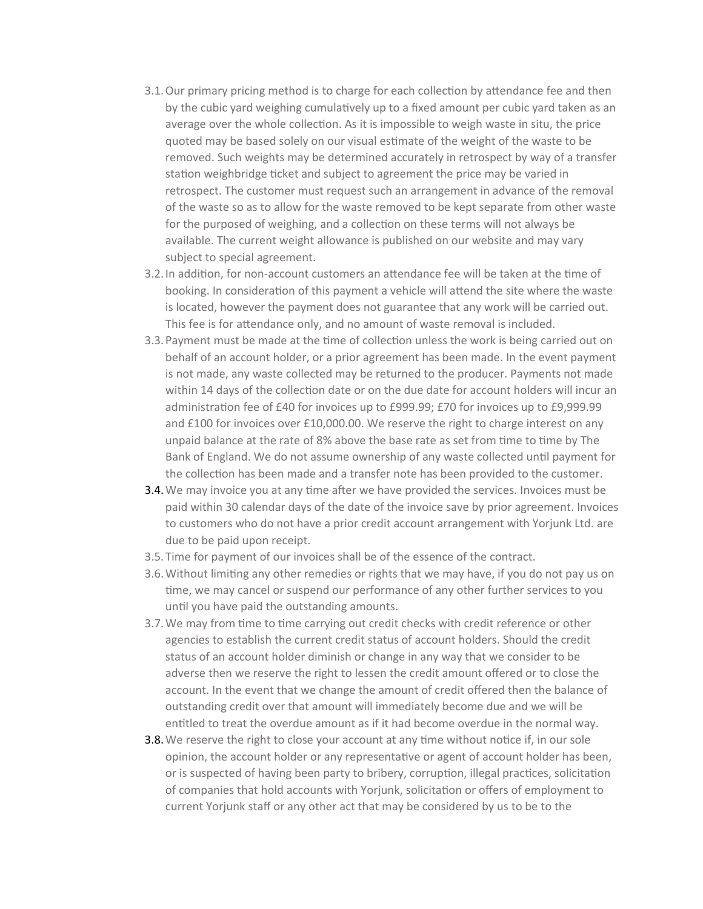- 3.1.Our primary pricing method is to charge for each collection by attendance fee and then by the cubic yard weighing cumulatively up to a fixed amount per cubic yard taken as an average over the whole collection. As it is impossible to weigh waste in situ, the price quoted may be based solely on our visual estimate of the weight of the waste to be removed. Such weights may be determined accurately in retrospect by way of a transfer station weighbridge ticket and subject to agreement the price may be varied in retrospect. The customer must request such an arrangement in advance of the removal of the waste so as to allow for the waste removed to be kept separate from other waste for the purposed of weighing, and a collection on these terms will not always be available. The current weight allowance is published on our website and may vary subject to special agreement.
- 3.2.In addition, for non-account customers an attendance fee will be taken at the time of booking. In consideration of this payment a vehicle will attend the site where the waste is located, however the payment does not guarantee that any work will be carried out. This fee is for attendance only, and no amount of waste removal is included.
- 3.3.Payment must be made at the time of collection unless the work is being carried out on behalf of an account holder, or a prior agreement has been made. In the event payment is not made, any waste collected may be returned to the producer. Payments not made within 14 days of the collection date or on the due date for account holders will incur an administration fee of £40 for invoices up to £999.99; £70 for invoices up to £9,999.99 and £100 for invoices over £10,000.00. We reserve the right to charge interest on any unpaid balance at the rate of 8% above the base rate as set from time to time by The Bank of England. We do not assume ownership of any waste collected until payment for the collection has been made and a transfer note has been provided to the customer.
- 3.4.We may invoice you at any time after we have provided the services. Invoices must be paid within 30 calendar days of the date of the invoice save by prior agreement. Invoices to customers who do not have a prior credit account arrangement with Yorjunk Ltd. are due to be paid upon receipt.
- 3.5. Time for payment of our invoices shall be of the essence of the contract.
- 3.6.Without limiting any other remedies or rights that we may have, if you do not pay us on time, we may cancel or suspend our performance of any other further services to you until you have paid the outstanding amounts.
- 3.7.We may from time to time carrying out credit checks with credit reference or other agencies to establish the current credit status of account holders. Should the credit status of an account holder diminish or change in any way that we consider to be adverse then we reserve the right to lessen the credit amount offered or to close the account. In the event that we change the amount of credit offered then the balance of outstanding credit over that amount will immediately become due and we will be entitled to treat the overdue amount as if it had become overdue in the normal way.
- 3.8.We reserve the right to close your account at any time without notice if, in our sole opinion, the account holder or any representative or agent of account holder has been, or is suspected of having been party to bribery, corruption, illegal practices, solicitation of companies that hold accounts with Yorjunk, solicitation or offers of employment to current Yorjunk staff or any other act that may be considered by us to be to the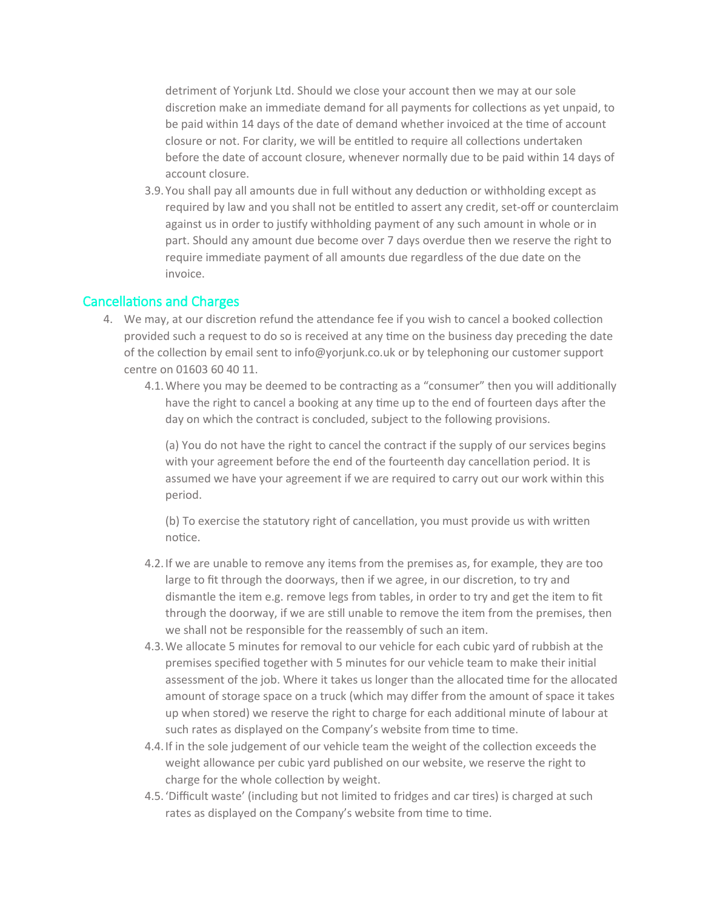detriment of Yorjunk Ltd. Should we close your account then we may at our sole discretion make an immediate demand for all payments for collections as yet unpaid, to be paid within 14 days of the date of demand whether invoiced at the time of account closure or not. For clarity, we will be entitled to require all collections undertaken before the date of account closure, whenever normally due to be paid within 14 days of account closure.

3.9. You shall pay all amounts due in full without any deduction or withholding except as required by law and you shall not be entitled to assert any credit, set-off or counterclaim against us in order to justify withholding payment of any such amount in whole or in part. Should any amount due become over 7 days overdue then we reserve the right to require immediate payment of all amounts due regardless of the due date on the invoice.

#### Cancellations and Charges

- 4. We may, at our discretion refund the attendance fee if you wish to cancel a booked collection provided such a request to do so is received at any time on the business day preceding the date of the collection by email sent to info@yorjunk.co.uk or by telephoning our customer support centre on 01603 60 40 11.
	- 4.1.Where you may be deemed to be contracting as a "consumer" then you will additionally have the right to cancel a booking at any time up to the end of fourteen days after the day on which the contract is concluded, subject to the following provisions.

(a) You do not have the right to cancel the contract if the supply of our services begins with your agreement before the end of the fourteenth day cancellation period. It is assumed we have your agreement if we are required to carry out our work within this period.

(b) To exercise the statutory right of cancellation, you must provide us with written notice.

- 4.2.If we are unable to remove any items from the premises as, for example, they are too large to fit through the doorways, then if we agree, in our discretion, to try and dismantle the item e.g. remove legs from tables, in order to try and get the item to fit through the doorway, if we are still unable to remove the item from the premises, then we shall not be responsible for the reassembly of such an item.
- 4.3.We allocate 5 minutes for removal to our vehicle for each cubic yard of rubbish at the premises specified together with 5 minutes for our vehicle team to make their initial assessment of the job. Where it takes us longer than the allocated time for the allocated amount of storage space on a truck (which may differ from the amount of space it takes up when stored) we reserve the right to charge for each additional minute of labour at such rates as displayed on the Company's website from time to time.
- 4.4.If in the sole judgement of our vehicle team the weight of the collection exceeds the weight allowance per cubic yard published on our website, we reserve the right to charge for the whole collection by weight.
- 4.5.'Difficult waste' (including but not limited to fridges and car tires) is charged at such rates as displayed on the Company's website from time to time.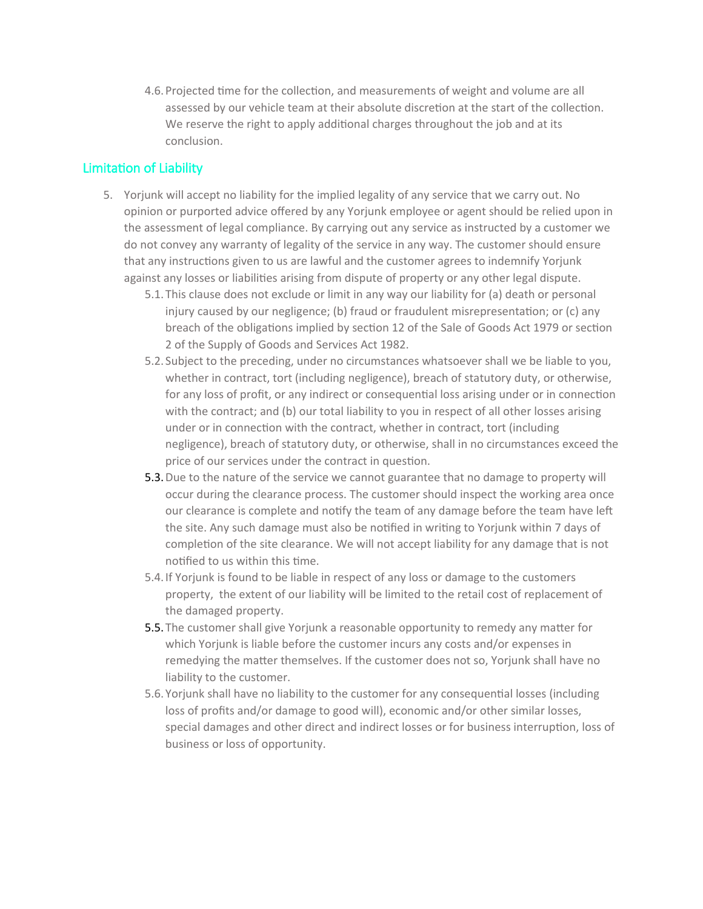4.6.Projected time for the collection, and measurements of weight and volume are all assessed by our vehicle team at their absolute discretion at the start of the collection. We reserve the right to apply additional charges throughout the job and at its conclusion.

### Limitation of Liability

- 5. Yorjunk will accept no liability for the implied legality of any service that we carry out. No opinion or purported advice offered by any Yorjunk employee or agent should be relied upon in the assessment of legal compliance. By carrying out any service as instructed by a customer we do not convey any warranty of legality of the service in any way. The customer should ensure that any instructions given to us are lawful and the customer agrees to indemnify Yorjunk against any losses or liabilities arising from dispute of property or any other legal dispute.
	- 5.1. This clause does not exclude or limit in any way our liability for (a) death or personal injury caused by our negligence; (b) fraud or fraudulent misrepresentation; or (c) any breach of the obligations implied by section 12 of the Sale of Goods Act 1979 or section 2 of the Supply of Goods and Services Act 1982.
	- 5.2. Subject to the preceding, under no circumstances whatsoever shall we be liable to you, whether in contract, tort (including negligence), breach of statutory duty, or otherwise, for any loss of profit, or any indirect or consequential loss arising under or in connection with the contract; and (b) our total liability to you in respect of all other losses arising under or in connection with the contract, whether in contract, tort (including negligence), breach of statutory duty, or otherwise, shall in no circumstances exceed the price of our services under the contract in question.
	- 5.3.Due to the nature of the service we cannot guarantee that no damage to property will occur during the clearance process. The customer should inspect the working area once our clearance is complete and notify the team of any damage before the team have left the site. Any such damage must also be notified in writing to Yorjunk within 7 days of completion of the site clearance. We will not accept liability for any damage that is not notified to us within this time.
	- 5.4.If Yorjunk is found to be liable in respect of any loss or damage to the customers property, the extent of our liability will be limited to the retail cost of replacement of the damaged property.
	- 5.5. The customer shall give Yorjunk a reasonable opportunity to remedy any matter for which Yorjunk is liable before the customer incurs any costs and/or expenses in remedying the matter themselves. If the customer does not so, Yorjunk shall have no liability to the customer.
	- 5.6. Yorjunk shall have no liability to the customer for any consequential losses (including loss of profits and/or damage to good will), economic and/or other similar losses, special damages and other direct and indirect losses or for business interruption, loss of business or loss of opportunity.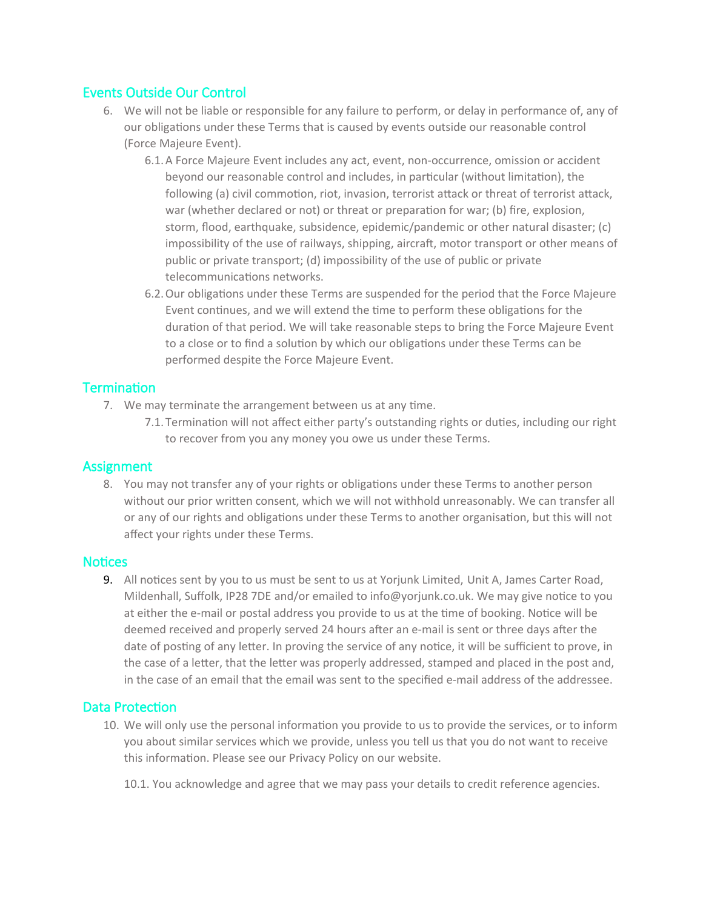### Events Outside Our Control

- 6. We will not be liable or responsible for any failure to perform, or delay in performance of, any of our obligations under these Terms that is caused by events outside our reasonable control (Force Majeure Event).
	- 6.1.A Force Majeure Event includes any act, event, non-occurrence, omission or accident beyond our reasonable control and includes, in particular (without limitation), the following (a) civil commotion, riot, invasion, terrorist attack or threat of terrorist attack, war (whether declared or not) or threat or preparation for war; (b) fire, explosion, storm, flood, earthquake, subsidence, epidemic/pandemic or other natural disaster; (c) impossibility of the use of railways, shipping, aircraft, motor transport or other means of public or private transport; (d) impossibility of the use of public or private telecommunications networks.
	- 6.2.Our obligations under these Terms are suspended for the period that the Force Majeure Event continues, and we will extend the time to perform these obligations for the duration of that period. We will take reasonable steps to bring the Force Majeure Event to a close or to find a solution by which our obligations under these Terms can be performed despite the Force Majeure Event.

## Termination

- 7. We may terminate the arrangement between us at any time.
	- 7.1. Termination will not affect either party's outstanding rights or duties, including our right to recover from you any money you owe us under these Terms.

### Assignment

8. You may not transfer any of your rights or obligations under these Terms to another person without our prior written consent, which we will not withhold unreasonably. We can transfer all or any of our rights and obligations under these Terms to another organisation, but this will not affect your rights under these Terms.

### **Notices**

9. All notices sent by you to us must be sent to us at Yorjunk Limited, Unit A, James Carter Road, Mildenhall, Suffolk, IP28 7DE and/or emailed to info@yorjunk.co.uk. We may give notice to you at either the e-mail or postal address you provide to us at the time of booking. Notice will be deemed received and properly served 24 hours after an e-mail is sent or three days after the date of posting of any letter. In proving the service of any notice, it will be sufficient to prove, in the case of a letter, that the letter was properly addressed, stamped and placed in the post and, in the case of an email that the email was sent to the specified e-mail address of the addressee.

### Data Protection

- 10. We will only use the personal information you provide to us to provide the services, or to inform you about similar services which we provide, unless you tell us that you do not want to receive this information. Please see our Privacy Policy on our website.
	- 10.1. You acknowledge and agree that we may pass your details to credit reference agencies.